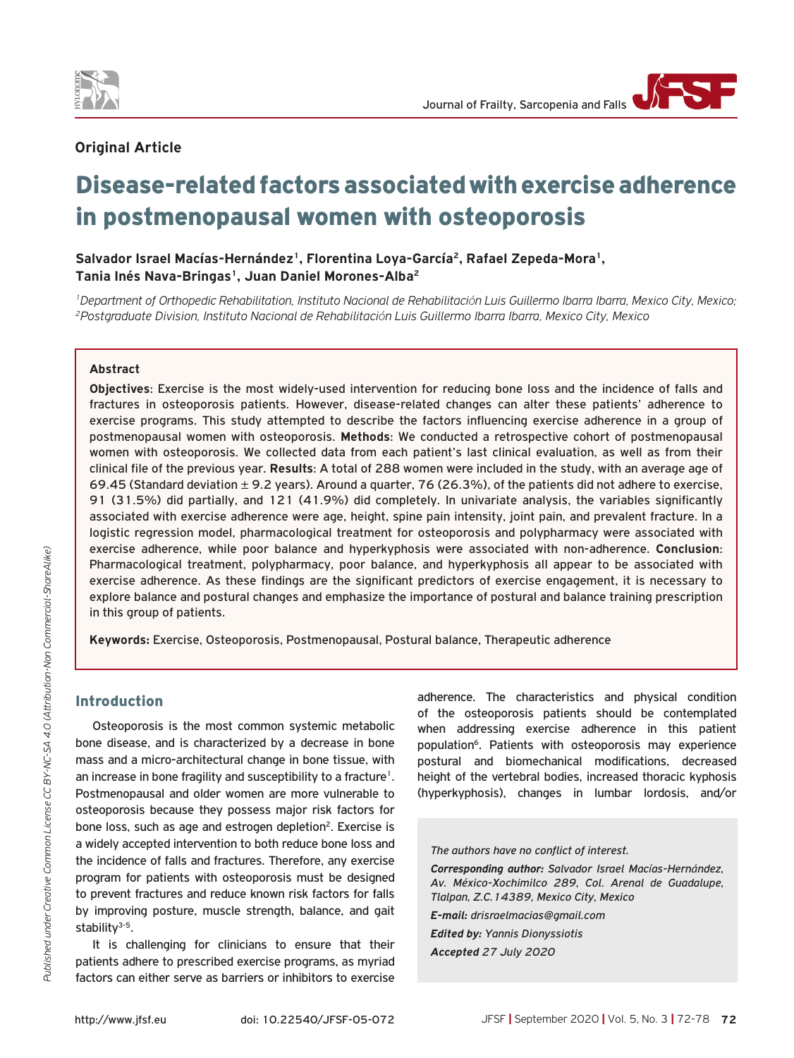

## **Original Article**

# Disease-related factors associated with exercise adherence in postmenopausal women with osteoporosis

**Salvador Israel Macías-Hernández1, Florentina Loya-García2, Rafael Zepeda-Mora1,**  Tania Inés Nava-Bringas<sup>1</sup>, Juan Daniel Morones-Alba<sup>2</sup>

<sup>1</sup>Department of Orthopedic Rehabilitation, Instituto Nacional de Rehabilitación Luis Guillermo Ibarra Ibarra, Mexico City, Mexico;<br><sup>2</sup>Postaraduate Division, Instituto Nacional de Rehabilitación Luis Guillermo Ibarra Ibarr

#### **Abstract**

**Objectives**: Exercise is the most widely-used intervention for reducing bone loss and the incidence of falls and fractures in osteoporosis patients. However, disease-related changes can alter these patients' adherence to exercise programs. This study attempted to describe the factors influencing exercise adherence in a group of postmenopausal women with osteoporosis. **Methods**: We conducted a retrospective cohort of postmenopausal women with osteoporosis. We collected data from each patient's last clinical evaluation, as well as from their clinical file of the previous year. **Results**: A total of 288 women were included in the study, with an average age of 69.45 (Standard deviation  $\pm$  9.2 years). Around a quarter, 76 (26.3%), of the patients did not adhere to exercise, 91 (31.5%) did partially, and 121 (41.9%) did completely. In univariate analysis, the variables significantly associated with exercise adherence were age, height, spine pain intensity, joint pain, and prevalent fracture. In a logistic regression model, pharmacological treatment for osteoporosis and polypharmacy were associated with exercise adherence, while poor balance and hyperkyphosis were associated with non-adherence. **Conclusion**: Pharmacological treatment, polypharmacy, poor balance, and hyperkyphosis all appear to be associated with exercise adherence. As these findings are the significant predictors of exercise engagement, it is necessary to explore balance and postural changes and emphasize the importance of postural and balance training prescription in this group of patients.

**Keywords:** Exercise, Osteoporosis, Postmenopausal, Postural balance, Therapeutic adherence

## Introduction

Osteoporosis is the most common systemic metabolic bone disease, and is characterized by a decrease in bone mass and a micro-architectural change in bone tissue, with an increase in bone fragility and susceptibility to a fracture<sup>1</sup>. Postmenopausal and older women are more vulnerable to osteoporosis because they possess major risk factors for bone loss, such as age and estrogen depletion<sup>2</sup>. Exercise is a widely accepted intervention to both reduce bone loss and the incidence of falls and fractures. Therefore, any exercise program for patients with osteoporosis must be designed to prevent fractures and reduce known risk factors for falls by improving posture, muscle strength, balance, and gait stability $3-5$ .

It is challenging for clinicians to ensure that their patients adhere to prescribed exercise programs, as myriad factors can either serve as barriers or inhibitors to exercise

adherence. The characteristics and physical condition of the osteoporosis patients should be contemplated when addressing exercise adherence in this patient population<sup>6</sup>. Patients with osteoporosis may experience postural and biomechanical modifications, decreased height of the vertebral bodies, increased thoracic kyphosis (hyperkyphosis), changes in lumbar lordosis, and/or

*The authors have no conflict of interest.*

*Corresponding author: Salvador Israel Macías-Hernández, Av. México-Xochimilco 289, Col. Arenal de Guadalupe, Tlalpan, Z.C.14389, Mexico City, Mexico*

*E-mail: drisraelmacias@gmail.com*

*Edited by: Yannis Dionyssiotis Accepted 27 July 2020*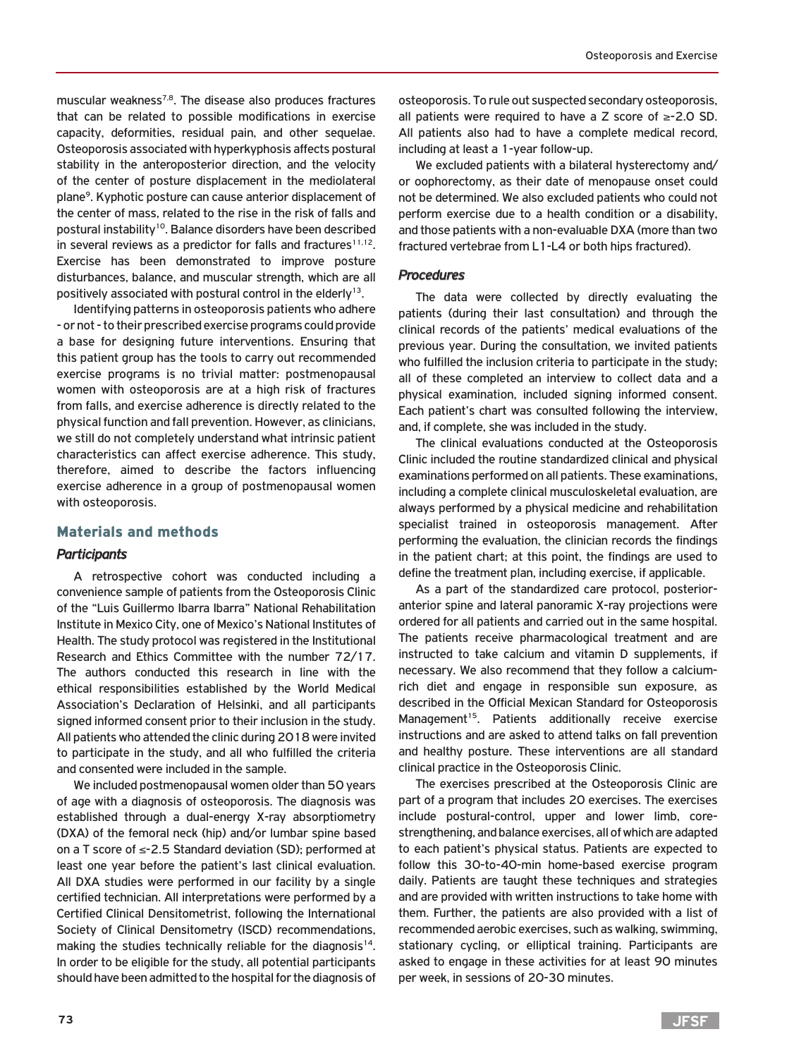muscular weakness<sup>7,8</sup>. The disease also produces fractures that can be related to possible modifications in exercise capacity, deformities, residual pain, and other sequelae. Osteoporosis associated with hyperkyphosis affects postural stability in the anteroposterior direction, and the velocity of the center of posture displacement in the mediolateral plane9. Kyphotic posture can cause anterior displacement of the center of mass, related to the rise in the risk of falls and postural instability<sup>10</sup>. Balance disorders have been described in several reviews as a predictor for falls and fractures $11,12$ . Exercise has been demonstrated to improve posture disturbances, balance, and muscular strength, which are all positively associated with postural control in the elderly<sup>13</sup>.

Identifying patterns in osteoporosis patients who adhere - or not - to their prescribed exercise programs could provide a base for designing future interventions. Ensuring that this patient group has the tools to carry out recommended exercise programs is no trivial matter: postmenopausal women with osteoporosis are at a high risk of fractures from falls, and exercise adherence is directly related to the physical function and fall prevention. However, as clinicians, we still do not completely understand what intrinsic patient characteristics can affect exercise adherence. This study, therefore, aimed to describe the factors influencing exercise adherence in a group of postmenopausal women with osteoporosis.

## Materials and methods

## *Participants*

A retrospective cohort was conducted including a convenience sample of patients from the Osteoporosis Clinic of the "Luis Guillermo Ibarra Ibarra" National Rehabilitation Institute in Mexico City, one of Mexico's National Institutes of Health. The study protocol was registered in the Institutional Research and Ethics Committee with the number 72/17. The authors conducted this research in line with the ethical responsibilities established by the World Medical Association's Declaration of Helsinki, and all participants signed informed consent prior to their inclusion in the study. All patients who attended the clinic during 2018 were invited to participate in the study, and all who fulfilled the criteria and consented were included in the sample.

We included postmenopausal women older than 50 years of age with a diagnosis of osteoporosis. The diagnosis was established through a dual-energy X-ray absorptiometry (DXA) of the femoral neck (hip) and/or lumbar spine based on a T score of ≤-2.5 Standard deviation (SD); performed at least one year before the patient's last clinical evaluation. All DXA studies were performed in our facility by a single certified technician. All interpretations were performed by a Certified Clinical Densitometrist, following the International Society of Clinical Densitometry (ISCD) recommendations, making the studies technically reliable for the diagnosis<sup>14</sup>. In order to be eligible for the study, all potential participants should have been admitted to the hospital for the diagnosis of

osteoporosis. To rule out suspected secondary osteoporosis, all patients were required to have a Z score of ≥-2.0 SD. All patients also had to have a complete medical record, including at least a 1-year follow-up.

We excluded patients with a bilateral hysterectomy and/ or oophorectomy, as their date of menopause onset could not be determined. We also excluded patients who could not perform exercise due to a health condition or a disability, and those patients with a non-evaluable DXA (more than two fractured vertebrae from L1-L4 or both hips fractured).

#### *Procedures*

The data were collected by directly evaluating the patients (during their last consultation) and through the clinical records of the patients' medical evaluations of the previous year. During the consultation, we invited patients who fulfilled the inclusion criteria to participate in the study; all of these completed an interview to collect data and a physical examination, included signing informed consent. Each patient's chart was consulted following the interview, and, if complete, she was included in the study.

The clinical evaluations conducted at the Osteoporosis Clinic included the routine standardized clinical and physical examinations performed on all patients. These examinations, including a complete clinical musculoskeletal evaluation, are always performed by a physical medicine and rehabilitation specialist trained in osteoporosis management. After performing the evaluation, the clinician records the findings in the patient chart; at this point, the findings are used to define the treatment plan, including exercise, if applicable.

As a part of the standardized care protocol, posterioranterior spine and lateral panoramic X-ray projections were ordered for all patients and carried out in the same hospital. The patients receive pharmacological treatment and are instructed to take calcium and vitamin D supplements, if necessary. We also recommend that they follow a calciumrich diet and engage in responsible sun exposure, as described in the Official Mexican Standard for Osteoporosis Management<sup>15</sup>. Patients additionally receive exercise instructions and are asked to attend talks on fall prevention and healthy posture. These interventions are all standard clinical practice in the Osteoporosis Clinic.

The exercises prescribed at the Osteoporosis Clinic are part of a program that includes 20 exercises. The exercises include postural-control, upper and lower limb, corestrengthening, and balance exercises, all of which are adapted to each patient's physical status. Patients are expected to follow this 30-to-40-min home-based exercise program daily. Patients are taught these techniques and strategies and are provided with written instructions to take home with them. Further, the patients are also provided with a list of recommended aerobic exercises, such as walking, swimming, stationary cycling, or elliptical training. Participants are asked to engage in these activities for at least 90 minutes per week, in sessions of 20-30 minutes.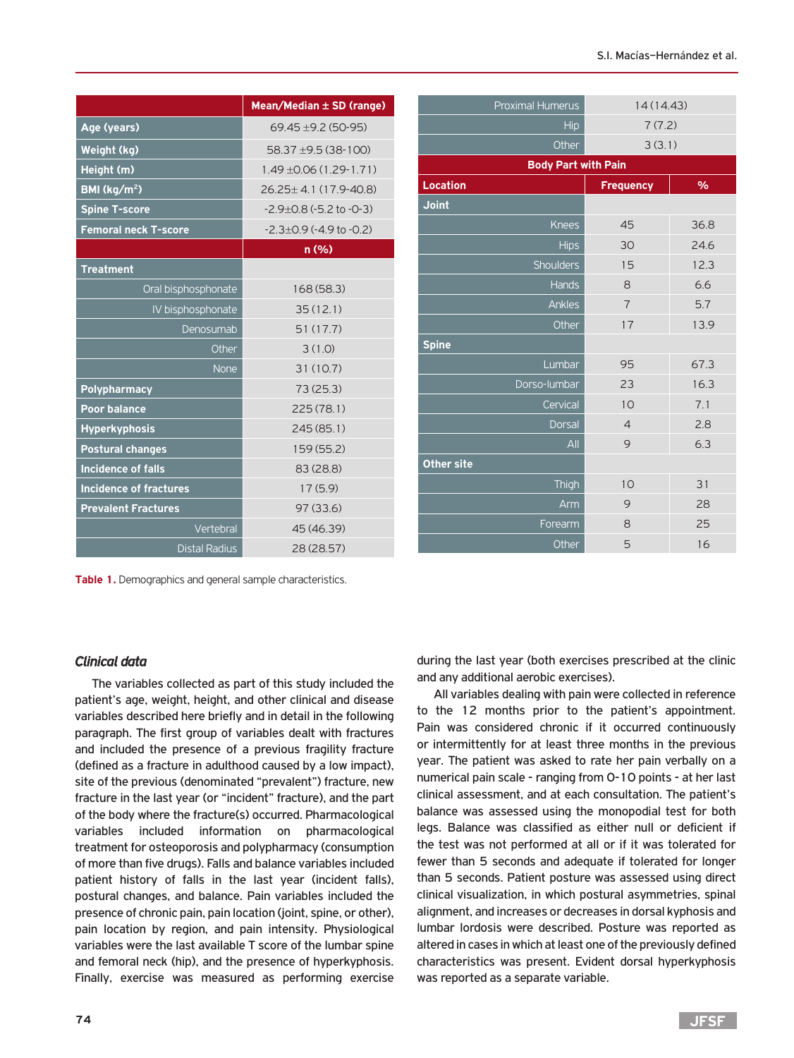|                               | Mean/Median ± SD (range)            |
|-------------------------------|-------------------------------------|
| Age (years)                   | $69.45 \pm 9.2 (50 - 95)$           |
| Weight (kg)                   | 58.37 ±9.5 (38-100)                 |
| Height (m)                    | $1.49 + 0.06(1.29 - 1.71)$          |
| BMI ( $\text{kg/m}^2$ )       | 26.25+4.1 (17.9-40.8)               |
| <b>Spine T-score</b>          | $-2.9+0.8(-5.2$ to $-0.3$ )         |
| <b>Femoral neck T-score</b>   | $-2.3 \pm 0.9$ ( $-4.9$ to $-0.2$ ) |
|                               | n(% )                               |
| <b>Treatment</b>              |                                     |
| Oral bisphosphonate           | 168(58.3)                           |
| IV bisphosphonate             | 35(12.1)                            |
| Denosumab                     | 51(17.7)                            |
| Other                         | 3(1.0)                              |
| None                          | 31(10.7)                            |
| Polypharmacy                  | 73(25.3)                            |
| <b>Poor balance</b>           | 225(78.1)                           |
| <b>Hyperkyphosis</b>          | 245(85.1)                           |
| <b>Postural changes</b>       | 159 (55.2)                          |
| <b>Incidence of falls</b>     | 83 (28.8)                           |
| <b>Incidence of fractures</b> | 17(5.9)                             |
| <b>Prevalent Fractures</b>    | 97(33.6)                            |
| Vertebral                     | 45 (46.39)                          |
| <b>Distal Radius</b>          | 28 (28.57)                          |

| <b>Proximal Humerus</b>    | 14(14.43)        |      |
|----------------------------|------------------|------|
| Hip                        | 7(7.2)           |      |
| Other                      | 3(3.1)           |      |
| <b>Body Part with Pain</b> |                  |      |
| <b>Location</b>            | <b>Frequency</b> | $\%$ |
| <b>Joint</b>               |                  |      |
| <b>Knees</b>               | 45               | 36.8 |
| <b>Hips</b>                | 30               | 24.6 |
| Shoulders                  | 15               | 12.3 |
| <b>Hands</b>               | 8                | 6.6  |
| Ankles                     | $\overline{7}$   | 5.7  |
| Other                      | 17               | 13.9 |
| <b>Spine</b>               |                  |      |
| Lumbar                     | 95               | 67.3 |
| Dorso-lumbar               | 23               | 16.3 |
| Cervical                   | 10               | 7.1  |
| <b>Dorsal</b>              | $\overline{4}$   | 2.8  |
| All                        | 9                | 6.3  |
| <b>Other site</b>          |                  |      |
| Thigh                      | 10               | 31   |
| Arm                        | 9                | 28   |
| Forearm                    | 8                | 25   |
| Other                      | 5                | 16   |

**Table 1.** Demographics and general sample characteristics.

# *Clinical data*

The variables collected as part of this study included the patient's age, weight, height, and other clinical and disease variables described here briefly and in detail in the following paragraph. The first group of variables dealt with fractures and included the presence of a previous fragility fracture (defined as a fracture in adulthood caused by a low impact), site of the previous (denominated "prevalent") fracture, new fracture in the last year (or "incident" fracture), and the part of the body where the fracture(s) occurred. Pharmacological variables included information on pharmacological treatment for osteoporosis and polypharmacy (consumption of more than five drugs). Falls and balance variables included patient history of falls in the last year (incident falls), postural changes, and balance. Pain variables included the presence of chronic pain, pain location (joint, spine, or other), pain location by region, and pain intensity. Physiological variables were the last available T score of the lumbar spine and femoral neck (hip), and the presence of hyperkyphosis. Finally, exercise was measured as performing exercise during the last year (both exercises prescribed at the clinic and any additional aerobic exercises).

All variables dealing with pain were collected in reference to the 12 months prior to the patient's appointment. Pain was considered chronic if it occurred continuously or intermittently for at least three months in the previous year. The patient was asked to rate her pain verbally on a numerical pain scale - ranging from 0-10 points - at her last clinical assessment, and at each consultation. The patient's balance was assessed using the monopodial test for both legs. Balance was classified as either null or deficient if the test was not performed at all or if it was tolerated for fewer than 5 seconds and adequate if tolerated for longer than 5 seconds. Patient posture was assessed using direct clinical visualization, in which postural asymmetries, spinal alignment, and increases or decreases in dorsal kyphosis and lumbar lordosis were described. Posture was reported as altered in cases in which at least one of the previously defined characteristics was present. Evident dorsal hyperkyphosis was reported as a separate variable.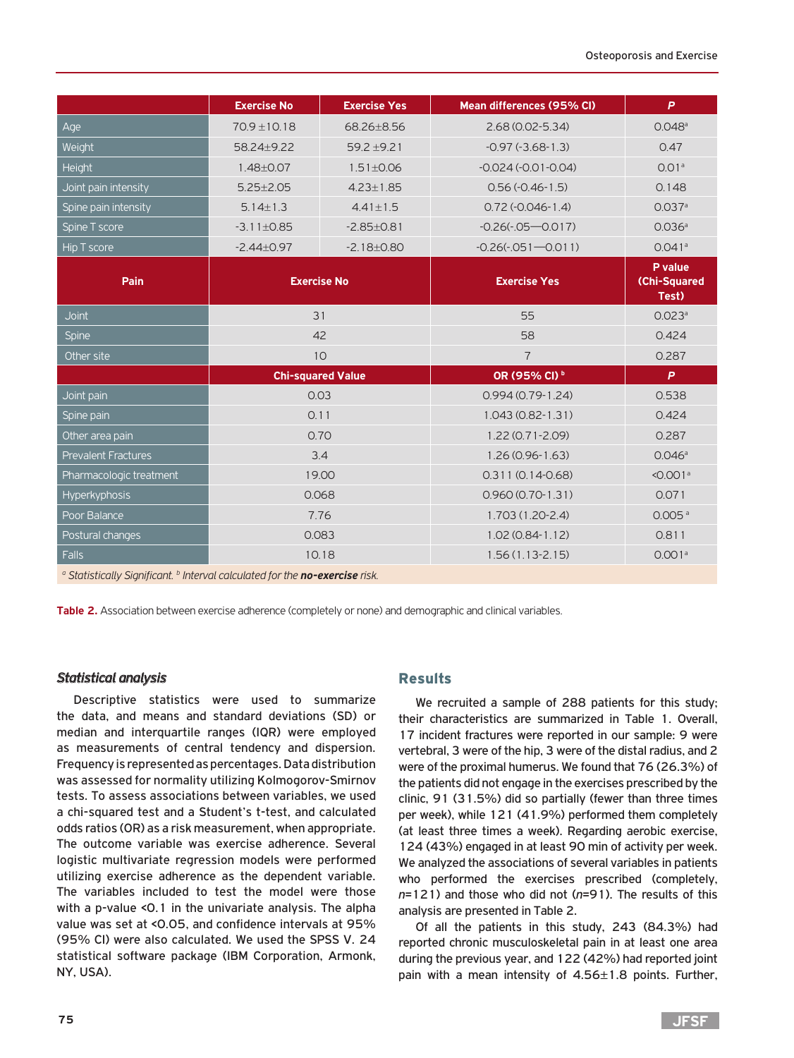|                            | <b>Exercise No</b>       | <b>Exercise Yes</b> | Mean differences (95% CI) | P                                       |
|----------------------------|--------------------------|---------------------|---------------------------|-----------------------------------------|
| Age                        | $70.9 \pm 10.18$         | 68.26±8.56          | 2.68 (0.02-5.34)          | $0.048$ <sup>a</sup>                    |
| Weight                     | 58.24+9.22               | $59.2 + 9.21$       | $-0.97(-3.68-1.3)$        | 0.47                                    |
| Height                     | $1.48 \pm 0.07$          | $1.51 \pm 0.06$     | $-0.024(-0.01-0.04)$      | 0.01 <sup>a</sup>                       |
| Joint pain intensity       | $5.25 \pm 2.05$          | $4.23 \pm 1.85$     | $0.56(-0.46-1.5)$         | 0.148                                   |
| Spine pain intensity       | $5.14 \pm 1.3$           | $4.41 \pm 1.5$      | $0.72$ (-0.046-1.4)       | 0.037a                                  |
| Spine T score              | $-3.11 \pm 0.85$         | $-2.85 \pm 0.81$    | $-0.26(-0.05 - 0.017)$    | 0.036a                                  |
| Hip T score                | $-2.44 \pm 0.97$         | $-2.18 \pm 0.80$    | $-0.26(-0.051 - 0.011)$   | $0.041$ <sup>a</sup>                    |
| Pain                       | <b>Exercise No</b>       |                     | <b>Exercise Yes</b>       | P value<br><b>(Chi-Squared</b><br>Test) |
| <b>Joint</b>               | 31                       |                     | 55                        | 0.023a                                  |
| <b>Spine</b>               | 42                       |                     | 58                        | 0.424                                   |
| Other site                 | 10                       |                     | $\overline{7}$            | 0.287                                   |
|                            | <b>Chi-squared Value</b> |                     | OR (95% CI) b             | P                                       |
| Joint pain                 | 0.03                     |                     | $0.994(0.79-1.24)$        | 0.538                                   |
| Spine pain                 | 0.11                     |                     | $1.043(0.82 - 1.31)$      | 0.424                                   |
| Other area pain            | 0.70                     |                     | 1.22 (0.71-2.09)          | 0.287                                   |
| <b>Prevalent Fractures</b> | 3.4                      |                     | $1.26(0.96 - 1.63)$       | 0.046a                                  |
| Pharmacologic treatment    | 19.00                    |                     | $0.311(0.14-0.68)$        | $< 0.001$ <sup>a</sup>                  |
| <b>Hyperkyphosis</b>       | 0.068                    |                     | $0.960(0.70-1.31)$        | 0.071                                   |
| Poor Balance               | 7.76                     |                     | $1.703(1.20-2.4)$         | 0.005 <sup>a</sup>                      |
| Postural changes           | 0.083                    |                     | $1.02(0.84-1.12)$         | 0.811                                   |
| <b>Falls</b>               | 10.18                    |                     | $1.56(1.13 - 2.15)$       | 0.001 <sup>a</sup>                      |

a Statistically Significant. **b** Interval calculated for the **no-exercise** risk.

**Table 2.** Association between exercise adherence (completely or none) and demographic and clinical variables.

## *Statistical analysis*

Descriptive statistics were used to summarize the data, and means and standard deviations (SD) or median and interquartile ranges (IQR) were employed as measurements of central tendency and dispersion. Frequency is represented as percentages. Data distribution was assessed for normality utilizing Kolmogorov-Smirnov tests. To assess associations between variables, we used a chi-squared test and a Student's t-test, and calculated odds ratios (OR) as a risk measurement, when appropriate. The outcome variable was exercise adherence. Several logistic multivariate regression models were performed utilizing exercise adherence as the dependent variable. The variables included to test the model were those with a p-value <0.1 in the univariate analysis. The alpha value was set at <0.05, and confidence intervals at 95% (95% CI) were also calculated. We used the SPSS V. 24 statistical software package (IBM Corporation, Armonk, NY, USA).

## Results

We recruited a sample of 288 patients for this study; their characteristics are summarized in Table 1. Overall, 17 incident fractures were reported in our sample: 9 were vertebral, 3 were of the hip, 3 were of the distal radius, and 2 were of the proximal humerus. We found that 76 (26.3%) of the patients did not engage in the exercises prescribed by the clinic, 91 (31.5%) did so partially (fewer than three times per week), while 121 (41.9%) performed them completely (at least three times a week). Regarding aerobic exercise, 124 (43%) engaged in at least 90 min of activity per week. We analyzed the associations of several variables in patients who performed the exercises prescribed (completely, *n*=121) and those who did not (*n*=91). The results of this analysis are presented in Table 2.

Of all the patients in this study, 243 (84.3%) had reported chronic musculoskeletal pain in at least one area during the previous year, and 122 (42%) had reported joint pain with a mean intensity of 4.56±1.8 points. Further,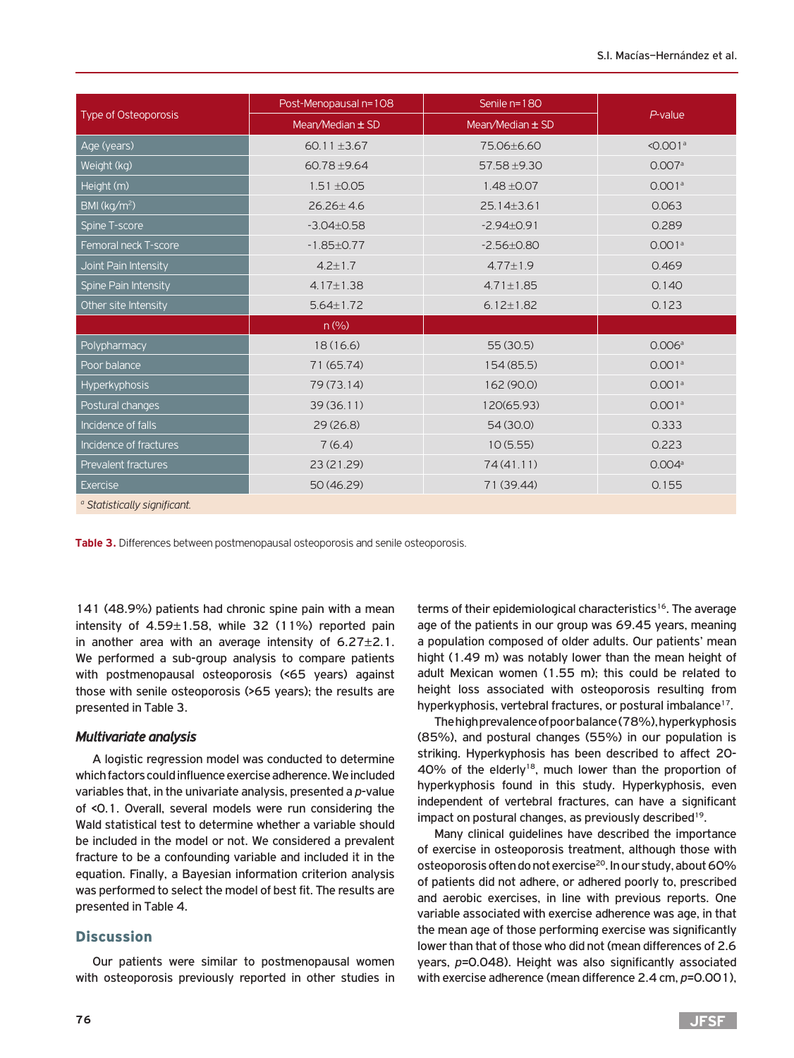| Type of Osteoporosis                    | Post-Menopausal n=108 | Senile n=180         | $P$ -value             |  |
|-----------------------------------------|-----------------------|----------------------|------------------------|--|
|                                         | Mean/Median $\pm$ SD  | Mean/Median $\pm$ SD |                        |  |
| Age (years)                             | 60.11 $\pm$ 3.67      | 75.06±6.60           | $< 0.001$ <sup>a</sup> |  |
| Weight (kg)                             | $60.78 + 9.64$        | 57.58 ±9.30          | 0.007a                 |  |
| Height (m)                              | $1.51 + 0.05$         | $1.48 + 0.07$        | 0.001 <sup>a</sup>     |  |
| BMl (kg/m <sup>2</sup> )                | $26.26 \pm 4.6$       | $25.14 \pm 3.61$     | 0.063                  |  |
| Spine T-score                           | $-3.04 \pm 0.58$      | $-2.94 \pm 0.91$     | 0.289                  |  |
| Femoral neck T-score                    | $-1.85 \pm 0.77$      | $-2.56 \pm 0.80$     | 0.001 <sup>a</sup>     |  |
| Joint Pain Intensity                    | $4.2 \pm 1.7$         | $4.77 \pm 1.9$       | 0.469                  |  |
| Spine Pain Intensity                    | $4.17 \pm 1.38$       | $4.71 \pm 1.85$      | 0.140                  |  |
| Other site Intensity                    | $5.64 \pm 1.72$       | $6.12 \pm 1.82$      | 0.123                  |  |
|                                         | n (% )                |                      |                        |  |
| Polypharmacy                            | 18(16.6)              | 55(30.5)             | 0.006a                 |  |
| Poor balance                            | 71 (65.74)            | 154 (85.5)           | 0.001a                 |  |
| Hyperkyphosis                           | 79 (73.14)            | 162 (90.0)           | 0.001 <sup>a</sup>     |  |
| Postural changes                        | 39(36.11)             | 120(65.93)           | 0.001 <sup>a</sup>     |  |
| Incidence of falls                      | 29(26.8)              | 54 (30.0)            | 0.333                  |  |
| Incidence of fractures                  | 7(6.4)                | 10(5.55)             | 0.223                  |  |
| Prevalent fractures                     | 23 (21.29)            | 74(41.11)            | 0.004a                 |  |
| <b>Exercise</b>                         | 50 (46.29)            | 71 (39.44)           | 0.155                  |  |
| <sup>o</sup> Statistically significant. |                       |                      |                        |  |

**Table 3.** Differences between postmenopausal osteoporosis and senile osteoporosis.

141 (48.9%) patients had chronic spine pain with a mean intensity of  $4.59 \pm 1.58$ , while 32 (11%) reported pain in another area with an average intensity of  $6.27 \pm 2.1$ . We performed a sub-group analysis to compare patients with postmenopausal osteoporosis (<65 years) against those with senile osteoporosis (>65 years); the results are presented in Table 3.

## *Multivariate analysis*

A logistic regression model was conducted to determine which factors could influence exercise adherence. We included variables that, in the univariate analysis, presented a *p*-value of <0.1. Overall, several models were run considering the Wald statistical test to determine whether a variable should be included in the model or not. We considered a prevalent fracture to be a confounding variable and included it in the equation. Finally, a Bayesian information criterion analysis was performed to select the model of best fit. The results are presented in Table 4.

## **Discussion**

Our patients were similar to postmenopausal women with osteoporosis previously reported in other studies in

terms of their epidemiological characteristics<sup>16</sup>. The average age of the patients in our group was 69.45 years, meaning a population composed of older adults. Our patients' mean hight (1.49 m) was notably lower than the mean height of adult Mexican women (1.55 m); this could be related to height loss associated with osteoporosis resulting from hyperkyphosis, vertebral fractures, or postural imbalance<sup>17</sup>.

The high prevalence of poor balance (78%), hyperkyphosis (85%), and postural changes (55%) in our population is striking. Hyperkyphosis has been described to affect 20- 40% of the elderly<sup>18</sup>, much lower than the proportion of hyperkyphosis found in this study. Hyperkyphosis, even independent of vertebral fractures, can have a significant impact on postural changes, as previously described<sup>19</sup>.

Many clinical guidelines have described the importance of exercise in osteoporosis treatment, although those with osteoporosis often do not exercise<sup>20</sup>. In our study, about 60% of patients did not adhere, or adhered poorly to, prescribed and aerobic exercises, in line with previous reports. One variable associated with exercise adherence was age, in that the mean age of those performing exercise was significantly lower than that of those who did not (mean differences of 2.6 years, *p*=0.048). Height was also significantly associated with exercise adherence (mean difference 2.4 cm, *p*=0.001),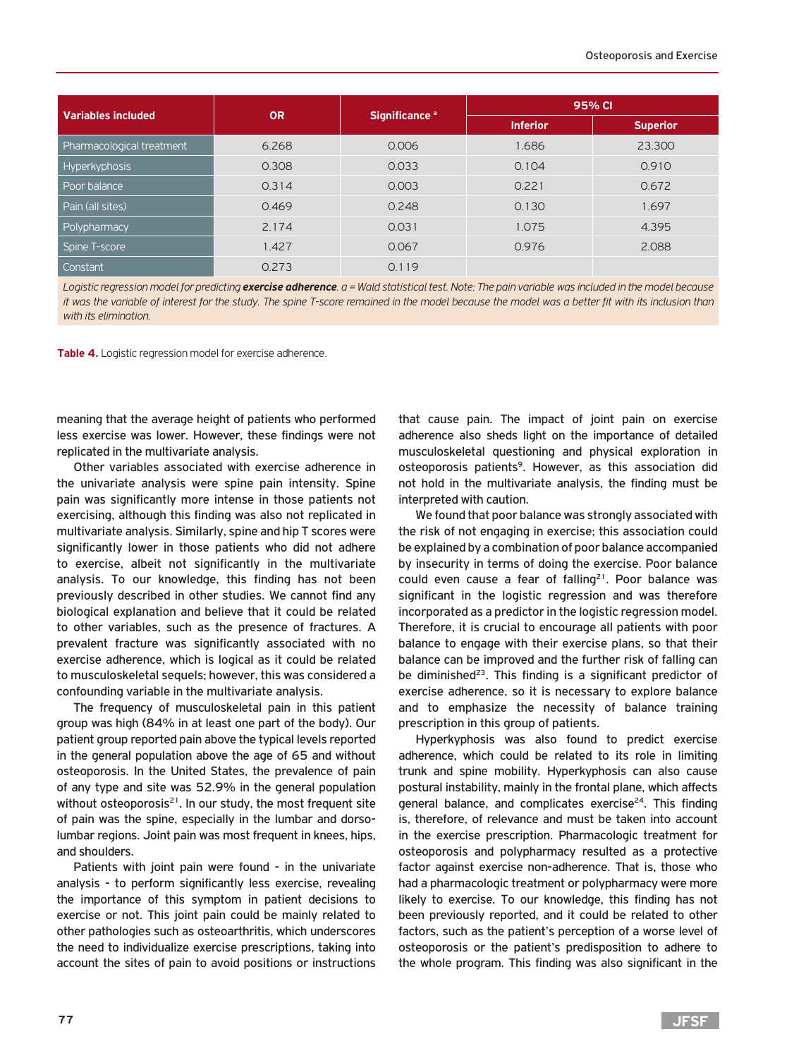| <b>Variables included</b> | <b>OR</b> | Significance <sup>a</sup> | 95% CI          |                 |  |
|---------------------------|-----------|---------------------------|-----------------|-----------------|--|
|                           |           |                           | <b>Inferior</b> | <b>Superior</b> |  |
| Pharmacological treatment | 6.268     | 0.006                     | 1.686           | 23,300          |  |
| <b>Hyperkyphosis</b>      | 0.308     | 0.033                     | 0.104           | 0.910           |  |
| Poor balance              | 0.314     | 0.003                     | 0.221           | 0.672           |  |
| Pain (all sites)          | 0.469     | 0.248                     | 0.130           | 1.697           |  |
| Polypharmacy              | 2.174     | 0.031                     | 1.075           | 4.395           |  |
| Spine T-score             | 1.427     | 0.067                     | 0.976           | 2.088           |  |
| Constant                  | 0.273     | 0.119                     |                 |                 |  |

*Logistic regression model for predicting exercise adherence. a = Wald statistical test. Note: The pain variable was included in the model because it was the variable of interest for the study. The spine T-score remained in the model because the model was a better fit with its inclusion than with its elimination.*

**Table 4.** Logistic regression model for exercise adherence.

meaning that the average height of patients who performed less exercise was lower. However, these findings were not replicated in the multivariate analysis.

Other variables associated with exercise adherence in the univariate analysis were spine pain intensity. Spine pain was significantly more intense in those patients not exercising, although this finding was also not replicated in multivariate analysis. Similarly, spine and hip T scores were significantly lower in those patients who did not adhere to exercise, albeit not significantly in the multivariate analysis. To our knowledge, this finding has not been previously described in other studies. We cannot find any biological explanation and believe that it could be related to other variables, such as the presence of fractures. A prevalent fracture was significantly associated with no exercise adherence, which is logical as it could be related to musculoskeletal sequels; however, this was considered a confounding variable in the multivariate analysis.

The frequency of musculoskeletal pain in this patient group was high (84% in at least one part of the body). Our patient group reported pain above the typical levels reported in the general population above the age of 65 and without osteoporosis. In the United States, the prevalence of pain of any type and site was 52.9% in the general population without osteoporosis<sup>21</sup>. In our study, the most frequent site of pain was the spine, especially in the lumbar and dorsolumbar regions. Joint pain was most frequent in knees, hips, and shoulders.

Patients with joint pain were found - in the univariate analysis - to perform significantly less exercise, revealing the importance of this symptom in patient decisions to exercise or not. This joint pain could be mainly related to other pathologies such as osteoarthritis, which underscores the need to individualize exercise prescriptions, taking into account the sites of pain to avoid positions or instructions

that cause pain. The impact of joint pain on exercise adherence also sheds light on the importance of detailed musculoskeletal questioning and physical exploration in osteoporosis patients<sup>9</sup>. However, as this association did not hold in the multivariate analysis, the finding must be interpreted with caution.

We found that poor balance was strongly associated with the risk of not engaging in exercise; this association could be explained by a combination of poor balance accompanied by insecurity in terms of doing the exercise. Poor balance could even cause a fear of falling<sup>21</sup>. Poor balance was significant in the logistic regression and was therefore incorporated as a predictor in the logistic regression model. Therefore, it is crucial to encourage all patients with poor balance to engage with their exercise plans, so that their balance can be improved and the further risk of falling can be diminished $23$ . This finding is a significant predictor of exercise adherence, so it is necessary to explore balance and to emphasize the necessity of balance training prescription in this group of patients.

Hyperkyphosis was also found to predict exercise adherence, which could be related to its role in limiting trunk and spine mobility. Hyperkyphosis can also cause postural instability, mainly in the frontal plane, which affects general balance, and complicates exercise<sup>24</sup>. This finding is, therefore, of relevance and must be taken into account in the exercise prescription. Pharmacologic treatment for osteoporosis and polypharmacy resulted as a protective factor against exercise non-adherence. That is, those who had a pharmacologic treatment or polypharmacy were more likely to exercise. To our knowledge, this finding has not been previously reported, and it could be related to other factors, such as the patient's perception of a worse level of osteoporosis or the patient's predisposition to adhere to the whole program. This finding was also significant in the